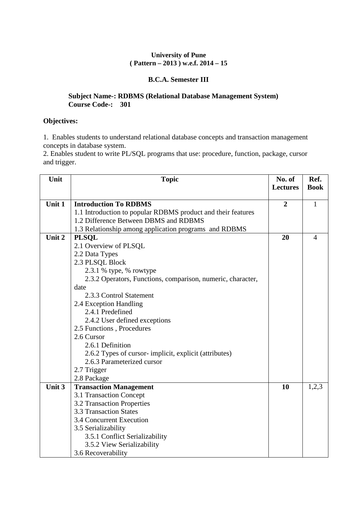#### **University of Pune ( Pattern – 2013 ) w.e.f. 2014 – 15**

### **B.C.A. Semester III**

#### **Subject Name-: RDBMS (Relational Database Management System) Course Code-: 301**

#### **Objectives:**

1. Enables students to understand relational database concepts and transaction management concepts in database system.

2. Enables student to write PL/SQL programs that use: procedure, function, package, cursor and trigger.

| Unit   | <b>Topic</b>                                                 | No. of<br><b>Lectures</b> | Ref.<br><b>Book</b> |
|--------|--------------------------------------------------------------|---------------------------|---------------------|
| Unit 1 | <b>Introduction To RDBMS</b>                                 | $\overline{2}$            | $\mathbf{1}$        |
|        | 1.1 Introduction to popular RDBMS product and their features |                           |                     |
|        | 1.2 Difference Between DBMS and RDBMS                        |                           |                     |
|        | 1.3 Relationship among application programs and RDBMS        |                           |                     |
| Unit 2 | <b>PLSQL</b>                                                 | 20                        | $\overline{4}$      |
|        | 2.1 Overview of PLSQL                                        |                           |                     |
|        | 2.2 Data Types                                               |                           |                     |
|        | 2.3 PLSQL Block                                              |                           |                     |
|        | 2.3.1 % type, % rowtype                                      |                           |                     |
|        | 2.3.2 Operators, Functions, comparison, numeric, character,  |                           |                     |
|        | date                                                         |                           |                     |
|        | 2.3.3 Control Statement                                      |                           |                     |
|        | 2.4 Exception Handling                                       |                           |                     |
|        | 2.4.1 Predefined                                             |                           |                     |
|        | 2.4.2 User defined exceptions                                |                           |                     |
|        | 2.5 Functions, Procedures                                    |                           |                     |
|        | 2.6 Cursor                                                   |                           |                     |
|        | 2.6.1 Definition                                             |                           |                     |
|        | 2.6.2 Types of cursor-implicit, explicit (attributes)        |                           |                     |
|        | 2.6.3 Parameterized cursor                                   |                           |                     |
|        | 2.7 Trigger                                                  |                           |                     |
|        | 2.8 Package                                                  |                           |                     |
| Unit 3 | <b>Transaction Management</b>                                | 10                        | 1,2,3               |
|        | 3.1 Transaction Concept                                      |                           |                     |
|        | 3.2 Transaction Properties                                   |                           |                     |
|        | <b>3.3 Transaction States</b>                                |                           |                     |
|        | 3.4 Concurrent Execution                                     |                           |                     |
|        | 3.5 Serializability                                          |                           |                     |
|        | 3.5.1 Conflict Serializability<br>3.5.2 View Serializability |                           |                     |
|        | 3.6 Recoverability                                           |                           |                     |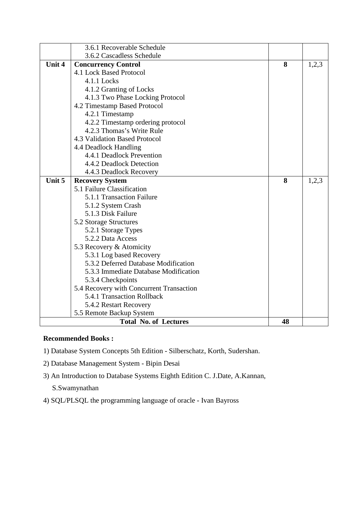|        | 3.6.1 Recoverable Schedule               |    |       |
|--------|------------------------------------------|----|-------|
|        | 3.6.2 Cascadless Schedule                |    |       |
| Unit 4 | <b>Concurrency Control</b>               | 8  | 1,2,3 |
|        | 4.1 Lock Based Protocol                  |    |       |
|        | 4.1.1 Locks                              |    |       |
|        | 4.1.2 Granting of Locks                  |    |       |
|        | 4.1.3 Two Phase Locking Protocol         |    |       |
|        | 4.2 Timestamp Based Protocol             |    |       |
|        | 4.2.1 Timestamp                          |    |       |
|        | 4.2.2 Timestamp ordering protocol        |    |       |
|        | 4.2.3 Thomas's Write Rule                |    |       |
|        | 4.3 Validation Based Protocol            |    |       |
|        | 4.4 Deadlock Handling                    |    |       |
|        | 4.4.1 Deadlock Prevention                |    |       |
|        | 4.4.2 Deadlock Detection                 |    |       |
|        | 4.4.3 Deadlock Recovery                  |    |       |
| Unit 5 | <b>Recovery System</b>                   | 8  | 1,2,3 |
|        | 5.1 Failure Classification               |    |       |
|        | 5.1.1 Transaction Failure                |    |       |
|        | 5.1.2 System Crash                       |    |       |
|        | 5.1.3 Disk Failure                       |    |       |
|        | 5.2 Storage Structures                   |    |       |
|        | 5.2.1 Storage Types                      |    |       |
|        | 5.2.2 Data Access                        |    |       |
|        | 5.3 Recovery & Atomicity                 |    |       |
|        | 5.3.1 Log based Recovery                 |    |       |
|        | 5.3.2 Deferred Database Modification     |    |       |
|        | 5.3.3 Immediate Database Modification    |    |       |
|        | 5.3.4 Checkpoints                        |    |       |
|        | 5.4 Recovery with Concurrent Transaction |    |       |
|        | 5.4.1 Transaction Rollback               |    |       |
|        | 5.4.2 Restart Recovery                   |    |       |
|        | 5.5 Remote Backup System                 |    |       |
|        | <b>Total No. of Lectures</b>             | 48 |       |

- 1) Database System Concepts 5th Edition Silberschatz, Korth, Sudershan.
- 2) Database Management System Bipin Desai
- 3) An Introduction to Database Systems Eighth Edition C. J.Date, A.Kannan,
	- S.Swamynathan
- 4) SQL/PLSQL the programming language of oracle Ivan Bayross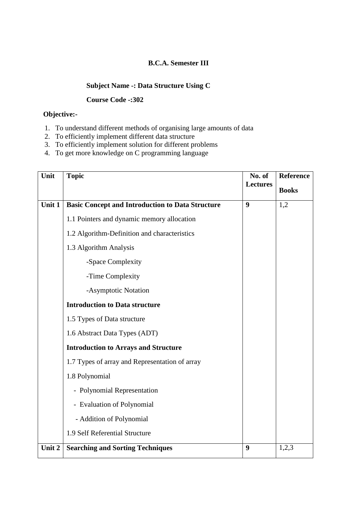### **B.C.A. Semester III**

# **Subject Name -: Data Structure Using C**

#### **Course Code -:302**

### **Objective:-**

- 1. To understand different methods of organising large amounts of data
- 2. To efficiently implement different data structure
- 3. To efficiently implement solution for different problems
- 4. To get more knowledge on C programming language

| Unit   | <b>Topic</b>                                            | No. of           | Reference    |
|--------|---------------------------------------------------------|------------------|--------------|
|        |                                                         | <b>Lectures</b>  | <b>Books</b> |
| Unit 1 | <b>Basic Concept and Introduction to Data Structure</b> | 9                | 1,2          |
|        | 1.1 Pointers and dynamic memory allocation              |                  |              |
|        | 1.2 Algorithm-Definition and characteristics            |                  |              |
|        | 1.3 Algorithm Analysis                                  |                  |              |
|        | -Space Complexity                                       |                  |              |
|        | -Time Complexity                                        |                  |              |
|        | -Asymptotic Notation                                    |                  |              |
|        | <b>Introduction to Data structure</b>                   |                  |              |
|        | 1.5 Types of Data structure                             |                  |              |
|        | 1.6 Abstract Data Types (ADT)                           |                  |              |
|        | <b>Introduction to Arrays and Structure</b>             |                  |              |
|        | 1.7 Types of array and Representation of array          |                  |              |
|        | 1.8 Polynomial                                          |                  |              |
|        | - Polynomial Representation                             |                  |              |
|        | - Evaluation of Polynomial                              |                  |              |
|        | - Addition of Polynomial                                |                  |              |
|        | 1.9 Self Referential Structure                          |                  |              |
| Unit 2 | <b>Searching and Sorting Techniques</b>                 | $\boldsymbol{9}$ | 1,2,3        |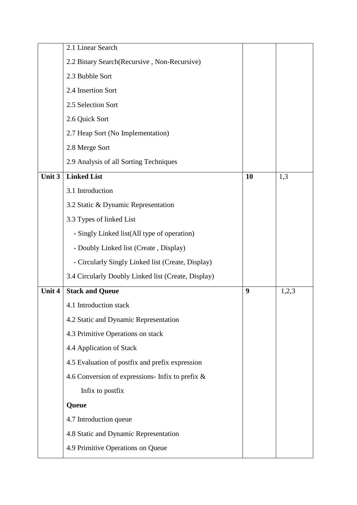|        | 2.1 Linear Search                                   |    |       |
|--------|-----------------------------------------------------|----|-------|
|        | 2.2 Binary Search (Recursive, Non-Recursive)        |    |       |
|        | 2.3 Bubble Sort                                     |    |       |
|        | 2.4 Insertion Sort                                  |    |       |
|        | 2.5 Selection Sort                                  |    |       |
|        | 2.6 Quick Sort                                      |    |       |
|        | 2.7 Heap Sort (No Implementation)                   |    |       |
|        | 2.8 Merge Sort                                      |    |       |
|        | 2.9 Analysis of all Sorting Techniques              |    |       |
| Unit 3 | <b>Linked List</b>                                  | 10 | 1,3   |
|        | 3.1 Introduction                                    |    |       |
|        | 3.2 Static & Dynamic Representation                 |    |       |
|        | 3.3 Types of linked List                            |    |       |
|        | - Singly Linked list(All type of operation)         |    |       |
|        | - Doubly Linked list (Create, Display)              |    |       |
|        | - Circularly Singly Linked list (Create, Display)   |    |       |
|        | 3.4 Circularly Doubly Linked list (Create, Display) |    |       |
| Unit 4 | <b>Stack and Queue</b>                              | 9  | 1,2,3 |
|        | 4.1 Introduction stack                              |    |       |
|        | 4.2 Static and Dynamic Representation               |    |       |
|        | 4.3 Primitive Operations on stack                   |    |       |
|        | 4.4 Application of Stack                            |    |       |
|        | 4.5 Evaluation of postfix and prefix expression     |    |       |
|        | 4.6 Conversion of expressions- Infix to prefix $\&$ |    |       |
|        | Infix to postfix                                    |    |       |
|        | Queue                                               |    |       |
|        | 4.7 Introduction queue                              |    |       |
|        | 4.8 Static and Dynamic Representation               |    |       |
|        | 4.9 Primitive Operations on Queue                   |    |       |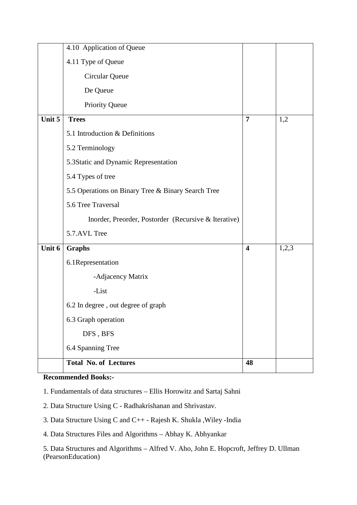|        | 4.10 Application of Queue                            |                         |       |
|--------|------------------------------------------------------|-------------------------|-------|
|        | 4.11 Type of Queue                                   |                         |       |
|        | Circular Queue                                       |                         |       |
|        | De Queue                                             |                         |       |
|        | Priority Queue                                       |                         |       |
| Unit 5 | <b>Trees</b>                                         | $\overline{7}$          | 1,2   |
|        | 5.1 Introduction & Definitions                       |                         |       |
|        | 5.2 Terminology                                      |                         |       |
|        | 5.3Static and Dynamic Representation                 |                         |       |
|        | 5.4 Types of tree                                    |                         |       |
|        | 5.5 Operations on Binary Tree & Binary Search Tree   |                         |       |
|        | 5.6 Tree Traversal                                   |                         |       |
|        | Inorder, Preorder, Postorder (Recursive & Iterative) |                         |       |
|        | 5.7.AVL Tree                                         |                         |       |
| Unit 6 | <b>Graphs</b>                                        | $\overline{\mathbf{4}}$ | 1,2,3 |
|        | 6.1Representation                                    |                         |       |
|        | -Adjacency Matrix                                    |                         |       |
|        | -List                                                |                         |       |
|        | 6.2 In degree, out degree of graph                   |                         |       |
|        | 6.3 Graph operation                                  |                         |       |
|        | DFS, BFS                                             |                         |       |
|        | 6.4 Spanning Tree                                    |                         |       |
|        | <b>Total No. of Lectures</b>                         | 48                      |       |

1. Fundamentals of data structures – Ellis Horowitz and Sartaj Sahni

2. Data Structure Using C - Radhakrishanan and Shrivastav.

3. Data Structure Using C and C++ - Rajesh K. Shukla ,Wiley -India

4. Data Structures Files and Algorithms – Abhay K. Abhyankar

5. Data Structures and Algorithms – Alfred V. Aho, John E. Hopcroft, Jeffrey D. Ullman (PearsonEducation)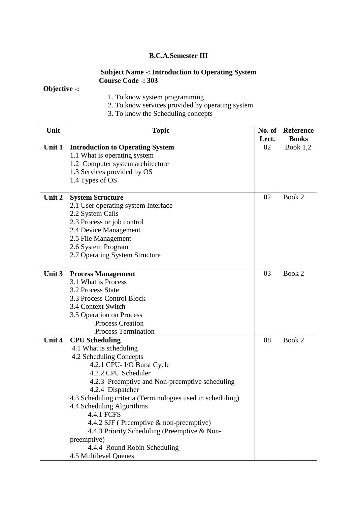### **B.C.A.Semester III**

### **Subject Name -: Introduction to Operating System Course Code -: 303**

# **Objective -:**

- 1. To know system programming
- 2. To know services provided by operating system
- 3. To know the Scheduling concepts

| Unit   | <b>Topic</b>                                               | No. of | Reference    |
|--------|------------------------------------------------------------|--------|--------------|
|        |                                                            | Lect.  | <b>Books</b> |
| Unit 1 | <b>Introduction to Operating System</b>                    | 02     | Book $1,2$   |
|        | 1.1 What is operating system                               |        |              |
|        | 1.2 Computer system architecture                           |        |              |
|        | 1.3 Services provided by OS                                |        |              |
|        | 1.4 Types of OS                                            |        |              |
|        |                                                            |        |              |
| Unit 2 | <b>System Structure</b>                                    | 02     | Book 2       |
|        | 2.1 User operating system Interface                        |        |              |
|        | 2.2 System Calls                                           |        |              |
|        | 2.3 Process or job control                                 |        |              |
|        | 2.4 Device Management                                      |        |              |
|        | 2.5 File Management                                        |        |              |
|        | 2.6 System Program                                         |        |              |
|        | 2.7 Operating System Structure                             |        |              |
|        |                                                            |        |              |
| Unit 3 | <b>Process Management</b>                                  | 03     | Book 2       |
|        | 3.1 What is Process                                        |        |              |
|        | 3.2 Process State                                          |        |              |
|        | 3.3 Process Control Block                                  |        |              |
|        | 3.4 Context Switch                                         |        |              |
|        | 3.5 Operation on Process                                   |        |              |
|        | <b>Process Creation</b>                                    |        |              |
|        | <b>Process Termination</b>                                 |        |              |
| Unit 4 | <b>CPU Scheduling</b>                                      | 08     | Book 2       |
|        | 4.1 What is scheduling                                     |        |              |
|        | 4.2 Scheduling Concepts                                    |        |              |
|        | 4.2.1 CPU- I/O Burst Cycle                                 |        |              |
|        | 4.2.2 CPU Scheduler                                        |        |              |
|        | 4.2.3 Preemptive and Non-preemptive scheduling             |        |              |
|        | 4.2.4 Dispatcher                                           |        |              |
|        | 4.3 Scheduling criteria (Terminologies used in scheduling) |        |              |
|        | 4.4 Scheduling Algorithms                                  |        |              |
|        | 4.4.1 FCFS                                                 |        |              |
|        | 4.4.2 SJF (Preemptive & non-preemptive)                    |        |              |
|        | 4.4.3 Priority Scheduling (Preemptive & Non-               |        |              |
|        | preemptive)                                                |        |              |
|        | 4.4.4 Round Robin Scheduling                               |        |              |
|        | 4.5 Multilevel Queues                                      |        |              |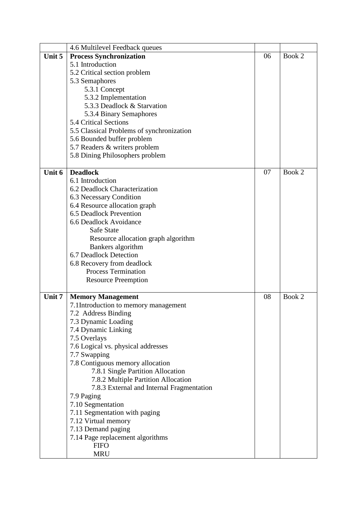|        | 4.6 Multilevel Feedback queues            |    |        |
|--------|-------------------------------------------|----|--------|
| Unit 5 | <b>Process Synchronization</b>            | 06 | Book 2 |
|        | 5.1 Introduction                          |    |        |
|        | 5.2 Critical section problem              |    |        |
|        | 5.3 Semaphores                            |    |        |
|        | 5.3.1 Concept                             |    |        |
|        | 5.3.2 Implementation                      |    |        |
|        | 5.3.3 Deadlock & Starvation               |    |        |
|        | 5.3.4 Binary Semaphores                   |    |        |
|        | 5.4 Critical Sections                     |    |        |
|        | 5.5 Classical Problems of synchronization |    |        |
|        | 5.6 Bounded buffer problem                |    |        |
|        | 5.7 Readers & writers problem             |    |        |
|        | 5.8 Dining Philosophers problem           |    |        |
|        |                                           |    |        |
| Unit 6 | <b>Deadlock</b>                           | 07 | Book 2 |
|        | 6.1 Introduction                          |    |        |
|        | 6.2 Deadlock Characterization             |    |        |
|        | 6.3 Necessary Condition                   |    |        |
|        | 6.4 Resource allocation graph             |    |        |
|        | 6.5 Deadlock Prevention                   |    |        |
|        | 6.6 Deadlock Avoidance                    |    |        |
|        | Safe State                                |    |        |
|        | Resource allocation graph algorithm       |    |        |
|        | Bankers algorithm                         |    |        |
|        | 6.7 Deadlock Detection                    |    |        |
|        | 6.8 Recovery from deadlock                |    |        |
|        | <b>Process Termination</b>                |    |        |
|        | <b>Resource Preemption</b>                |    |        |
|        |                                           |    |        |
| Unit 7 | <b>Memory Management</b>                  | 08 | Book 2 |
|        | 7.1 Introduction to memory management     |    |        |
|        | 7.2 Address Binding                       |    |        |
|        | 7.3 Dynamic Loading                       |    |        |
|        | 7.4 Dynamic Linking                       |    |        |
|        | 7.5 Overlays                              |    |        |
|        | 7.6 Logical vs. physical addresses        |    |        |
|        | 7.7 Swapping                              |    |        |
|        | 7.8 Contiguous memory allocation          |    |        |
|        | 7.8.1 Single Partition Allocation         |    |        |
|        | 7.8.2 Multiple Partition Allocation       |    |        |
|        | 7.8.3 External and Internal Fragmentation |    |        |
|        | 7.9 Paging                                |    |        |
|        | 7.10 Segmentation                         |    |        |
|        | 7.11 Segmentation with paging             |    |        |
|        | 7.12 Virtual memory                       |    |        |
|        | 7.13 Demand paging                        |    |        |
|        | 7.14 Page replacement algorithms          |    |        |
|        | <b>FIFO</b>                               |    |        |
|        | <b>MRU</b>                                |    |        |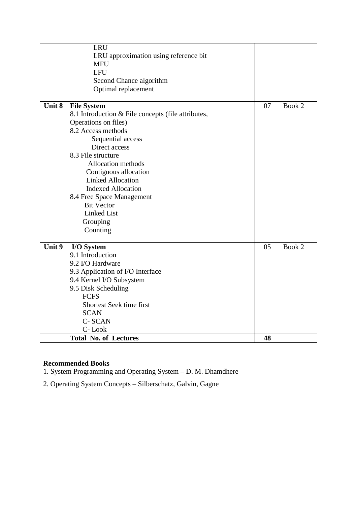|        | <b>Total No. of Lectures</b>                        | 48 |        |
|--------|-----------------------------------------------------|----|--------|
|        | C-Look                                              |    |        |
|        | C-SCAN                                              |    |        |
|        | <b>SCAN</b>                                         |    |        |
|        | Shortest Seek time first                            |    |        |
|        | <b>FCFS</b>                                         |    |        |
|        | 9.5 Disk Scheduling                                 |    |        |
|        | 9.4 Kernel I/O Subsystem                            |    |        |
|        | 9.3 Application of I/O Interface                    |    |        |
|        | 9.2 I/O Hardware                                    |    |        |
|        | I/O System<br>9.1 Introduction                      |    |        |
| Unit 9 |                                                     | 05 | Book 2 |
|        | Counting                                            |    |        |
|        | Grouping                                            |    |        |
|        | Linked List                                         |    |        |
|        | <b>Bit Vector</b>                                   |    |        |
|        | 8.4 Free Space Management                           |    |        |
|        | <b>Indexed Allocation</b>                           |    |        |
|        | <b>Linked Allocation</b>                            |    |        |
|        | Contiguous allocation                               |    |        |
|        | Allocation methods                                  |    |        |
|        | 8.3 File structure                                  |    |        |
|        | Direct access                                       |    |        |
|        | Sequential access                                   |    |        |
|        | Operations on files)<br>8.2 Access methods          |    |        |
|        | 8.1 Introduction & File concepts (file attributes,  |    |        |
| Unit 8 | <b>File System</b>                                  | 07 | Book 2 |
|        |                                                     |    |        |
|        | Optimal replacement                                 |    |        |
|        | Second Chance algorithm                             |    |        |
|        | <b>LFU</b>                                          |    |        |
|        | <b>MFU</b>                                          |    |        |
|        | <b>LRU</b><br>LRU approximation using reference bit |    |        |
|        |                                                     |    |        |

1. System Programming and Operating System – D. M. Dhamdhere

2. Operating System Concepts – Silberschatz, Galvin, Gagne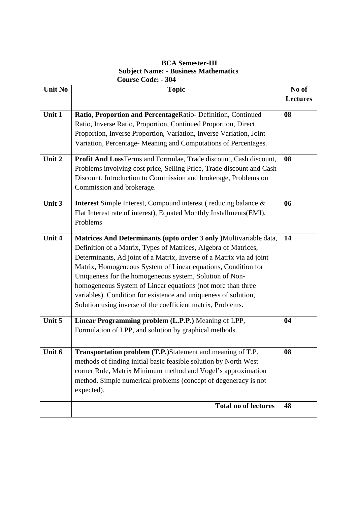## **BCA Semester-III Subject Name: - Business Mathematics Course Code: - 304**

| <b>Unit No</b> | <b>Topic</b>                                                                                                                                                                                                                                                                                                                                                                                                                                                                                                                              | No of           |
|----------------|-------------------------------------------------------------------------------------------------------------------------------------------------------------------------------------------------------------------------------------------------------------------------------------------------------------------------------------------------------------------------------------------------------------------------------------------------------------------------------------------------------------------------------------------|-----------------|
|                |                                                                                                                                                                                                                                                                                                                                                                                                                                                                                                                                           | <b>Lectures</b> |
| Unit 1         | Ratio, Proportion and PercentageRatio- Definition, Continued<br>Ratio, Inverse Ratio, Proportion, Continued Proportion, Direct<br>Proportion, Inverse Proportion, Variation, Inverse Variation, Joint<br>Variation, Percentage-Meaning and Computations of Percentages.                                                                                                                                                                                                                                                                   | 08              |
| Unit 2         | Profit And LossTerms and Formulae, Trade discount, Cash discount,<br>Problems involving cost price, Selling Price, Trade discount and Cash<br>Discount. Introduction to Commission and brokerage, Problems on<br>Commission and brokerage.                                                                                                                                                                                                                                                                                                | 08              |
| Unit 3         | <b>Interest</b> Simple Interest, Compound interest (reducing balance &<br>Flat Interest rate of interest), Equated Monthly Installments(EMI),<br>Problems                                                                                                                                                                                                                                                                                                                                                                                 | 06              |
| Unit 4         | Matrices And Determinants (upto order 3 only )Multivariable data,<br>Definition of a Matrix, Types of Matrices, Algebra of Matrices,<br>Determinants, Ad joint of a Matrix, Inverse of a Matrix via ad joint<br>Matrix, Homogeneous System of Linear equations, Condition for<br>Uniqueness for the homogeneous system, Solution of Non-<br>homogeneous System of Linear equations (not more than three<br>variables). Condition for existence and uniqueness of solution,<br>Solution using inverse of the coefficient matrix, Problems. | 14              |
| Unit 5         | Linear Programming problem (L.P.P.) Meaning of LPP,<br>Formulation of LPP, and solution by graphical methods.                                                                                                                                                                                                                                                                                                                                                                                                                             | 04              |
| Unit 6         | Transportation problem (T.P.)Statement and meaning of T.P.<br>methods of finding initial basic feasible solution by North West<br>corner Rule, Matrix Minimum method and Vogel's approximation<br>method. Simple numerical problems (concept of degeneracy is not<br>expected).                                                                                                                                                                                                                                                           | 08              |
|                | <b>Total no of lectures</b>                                                                                                                                                                                                                                                                                                                                                                                                                                                                                                               | 48              |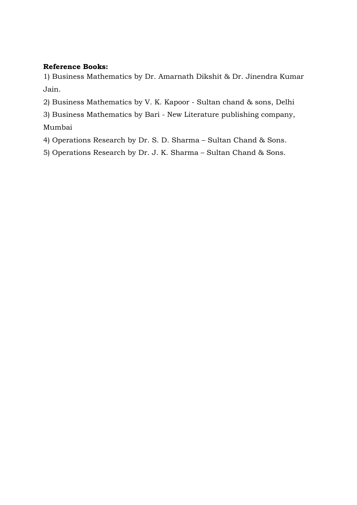## **Reference Books:**

1) Business Mathematics by Dr. Amarnath Dikshit & Dr. Jinendra Kumar Jain.

- 2) Business Mathematics by V. K. Kapoor Sultan chand & sons, Delhi
- 3) Business Mathematics by Bari New Literature publishing company,
- Mumbai
- 4) Operations Research by Dr. S. D. Sharma Sultan Chand & Sons.
- 5) Operations Research by Dr. J. K. Sharma Sultan Chand & Sons.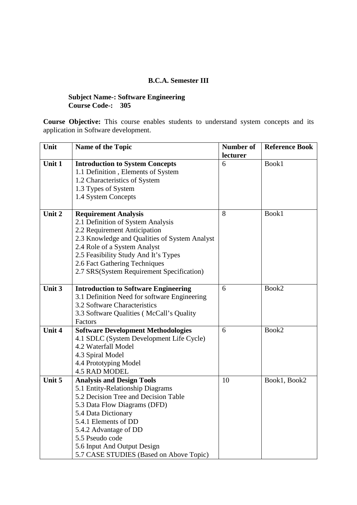### **B.C.A. Semester III**

#### **Subject Name-: Software Engineering Course Code-: 305**

**Course Objective:** This course enables students to understand system concepts and its application in Software development.

| Unit             | Name of the Topic                                                                                                                                                                                                                                                                                                                                                                                                                                                                                                                                             | Number of | <b>Reference Book</b> |
|------------------|---------------------------------------------------------------------------------------------------------------------------------------------------------------------------------------------------------------------------------------------------------------------------------------------------------------------------------------------------------------------------------------------------------------------------------------------------------------------------------------------------------------------------------------------------------------|-----------|-----------------------|
|                  |                                                                                                                                                                                                                                                                                                                                                                                                                                                                                                                                                               | lecturer  |                       |
| Unit 1           | <b>Introduction to System Concepts</b>                                                                                                                                                                                                                                                                                                                                                                                                                                                                                                                        | 6         | Book1                 |
|                  | 1.1 Definition, Elements of System                                                                                                                                                                                                                                                                                                                                                                                                                                                                                                                            |           |                       |
|                  | 1.2 Characteristics of System                                                                                                                                                                                                                                                                                                                                                                                                                                                                                                                                 |           |                       |
|                  | 1.3 Types of System                                                                                                                                                                                                                                                                                                                                                                                                                                                                                                                                           |           |                       |
|                  | 1.4 System Concepts                                                                                                                                                                                                                                                                                                                                                                                                                                                                                                                                           |           |                       |
|                  |                                                                                                                                                                                                                                                                                                                                                                                                                                                                                                                                                               |           |                       |
| Unit 2           | <b>Requirement Analysis</b>                                                                                                                                                                                                                                                                                                                                                                                                                                                                                                                                   | 8         | Book1                 |
|                  | 2.1 Definition of System Analysis                                                                                                                                                                                                                                                                                                                                                                                                                                                                                                                             |           |                       |
|                  | 2.2 Requirement Anticipation                                                                                                                                                                                                                                                                                                                                                                                                                                                                                                                                  |           |                       |
|                  | 2.3 Knowledge and Qualities of System Analyst                                                                                                                                                                                                                                                                                                                                                                                                                                                                                                                 |           |                       |
|                  | 2.4 Role of a System Analyst                                                                                                                                                                                                                                                                                                                                                                                                                                                                                                                                  |           |                       |
|                  | 2.5 Feasibility Study And It's Types                                                                                                                                                                                                                                                                                                                                                                                                                                                                                                                          |           |                       |
|                  | 2.6 Fact Gathering Techniques                                                                                                                                                                                                                                                                                                                                                                                                                                                                                                                                 |           |                       |
|                  | 2.7 SRS(System Requirement Specification)                                                                                                                                                                                                                                                                                                                                                                                                                                                                                                                     |           |                       |
|                  |                                                                                                                                                                                                                                                                                                                                                                                                                                                                                                                                                               |           |                       |
| Unit 3           | <b>Introduction to Software Engineering</b>                                                                                                                                                                                                                                                                                                                                                                                                                                                                                                                   | 6         | Book2                 |
|                  | 3.1 Definition Need for software Engineering                                                                                                                                                                                                                                                                                                                                                                                                                                                                                                                  |           |                       |
|                  | 3.2 Software Characteristics                                                                                                                                                                                                                                                                                                                                                                                                                                                                                                                                  |           |                       |
|                  |                                                                                                                                                                                                                                                                                                                                                                                                                                                                                                                                                               |           |                       |
|                  |                                                                                                                                                                                                                                                                                                                                                                                                                                                                                                                                                               |           |                       |
|                  |                                                                                                                                                                                                                                                                                                                                                                                                                                                                                                                                                               |           |                       |
|                  |                                                                                                                                                                                                                                                                                                                                                                                                                                                                                                                                                               |           |                       |
|                  |                                                                                                                                                                                                                                                                                                                                                                                                                                                                                                                                                               |           |                       |
|                  |                                                                                                                                                                                                                                                                                                                                                                                                                                                                                                                                                               |           |                       |
|                  |                                                                                                                                                                                                                                                                                                                                                                                                                                                                                                                                                               |           |                       |
|                  |                                                                                                                                                                                                                                                                                                                                                                                                                                                                                                                                                               |           |                       |
|                  |                                                                                                                                                                                                                                                                                                                                                                                                                                                                                                                                                               |           |                       |
|                  |                                                                                                                                                                                                                                                                                                                                                                                                                                                                                                                                                               |           |                       |
|                  |                                                                                                                                                                                                                                                                                                                                                                                                                                                                                                                                                               |           |                       |
|                  |                                                                                                                                                                                                                                                                                                                                                                                                                                                                                                                                                               |           |                       |
|                  |                                                                                                                                                                                                                                                                                                                                                                                                                                                                                                                                                               |           |                       |
|                  |                                                                                                                                                                                                                                                                                                                                                                                                                                                                                                                                                               |           |                       |
|                  |                                                                                                                                                                                                                                                                                                                                                                                                                                                                                                                                                               |           |                       |
|                  |                                                                                                                                                                                                                                                                                                                                                                                                                                                                                                                                                               |           |                       |
|                  |                                                                                                                                                                                                                                                                                                                                                                                                                                                                                                                                                               |           |                       |
| Unit 4<br>Unit 5 | 3.3 Software Qualities (McCall's Quality<br>Factors<br><b>Software Development Methodologies</b><br>4.1 SDLC (System Development Life Cycle)<br>4.2 Waterfall Model<br>4.3 Spiral Model<br>4.4 Prototyping Model<br><b>4.5 RAD MODEL</b><br><b>Analysis and Design Tools</b><br>5.1 Entity-Relationship Diagrams<br>5.2 Decision Tree and Decision Table<br>5.3 Data Flow Diagrams (DFD)<br>5.4 Data Dictionary<br>5.4.1 Elements of DD<br>5.4.2 Advantage of DD<br>5.5 Pseudo code<br>5.6 Input And Output Design<br>5.7 CASE STUDIES (Based on Above Topic) | 6<br>10   | Book2<br>Book1, Book2 |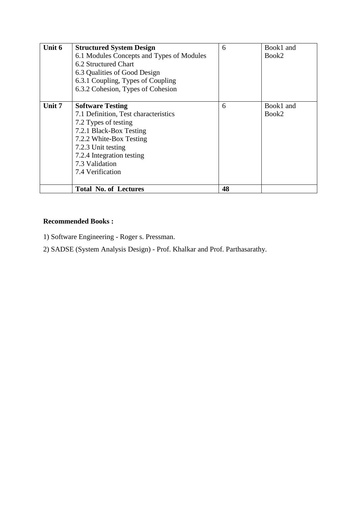| Unit 6 | <b>Structured System Design</b>           | 6  | Book1 and |
|--------|-------------------------------------------|----|-----------|
|        | 6.1 Modules Concepts and Types of Modules |    | Book2     |
|        | 6.2 Structured Chart                      |    |           |
|        | 6.3 Qualities of Good Design              |    |           |
|        | 6.3.1 Coupling, Types of Coupling         |    |           |
|        | 6.3.2 Cohesion, Types of Cohesion         |    |           |
|        |                                           |    |           |
| Unit 7 | <b>Software Testing</b>                   | 6  | Book1 and |
|        | 7.1 Definition, Test characteristics      |    | Book2     |
|        | 7.2 Types of testing                      |    |           |
|        | 7.2.1 Black-Box Testing                   |    |           |
|        | 7.2.2 White-Box Testing                   |    |           |
|        | 7.2.3 Unit testing                        |    |           |
|        | 7.2.4 Integration testing                 |    |           |
|        | 7.3 Validation                            |    |           |
|        | 7.4 Verification                          |    |           |
|        |                                           |    |           |
|        | <b>Total No. of Lectures</b>              | 48 |           |

- 1) Software Engineering Roger s. Pressman.
- 2) SADSE (System Analysis Design) Prof. Khalkar and Prof. Parthasarathy.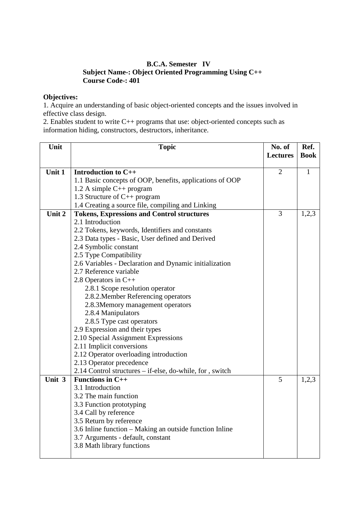#### **B.C.A. Semester IV Subject Name-: Object Oriented Programming Using C++ Course Code-: 401**

#### **Objectives:**

1. Acquire an understanding of basic object-oriented concepts and the issues involved in effective class design.

2. Enables student to write C++ programs that use: object-oriented concepts such as information hiding, constructors, destructors, inheritance.

| Unit   | <b>Topic</b>                                                          | No. of          | Ref.        |
|--------|-----------------------------------------------------------------------|-----------------|-------------|
|        |                                                                       | <b>Lectures</b> | <b>Book</b> |
|        |                                                                       |                 |             |
| Unit 1 | Introduction to C++                                                   | $\overline{2}$  | 1           |
|        | 1.1 Basic concepts of OOP, benefits, applications of OOP              |                 |             |
|        | 1.2 A simple $C_{++}$ program                                         |                 |             |
|        | 1.3 Structure of $C_{++}$ program                                     |                 |             |
| Unit 2 | 1.4 Creating a source file, compiling and Linking                     | 3               |             |
|        | <b>Tokens, Expressions and Control structures</b><br>2.1 Introduction |                 | 1,2,3       |
|        | 2.2 Tokens, keywords, Identifiers and constants                       |                 |             |
|        | 2.3 Data types - Basic, User defined and Derived                      |                 |             |
|        | 2.4 Symbolic constant                                                 |                 |             |
|        | 2.5 Type Compatibility                                                |                 |             |
|        | 2.6 Variables - Declaration and Dynamic initialization                |                 |             |
|        | 2.7 Reference variable                                                |                 |             |
|        | 2.8 Operators in $C++$                                                |                 |             |
|        | 2.8.1 Scope resolution operator                                       |                 |             |
|        | 2.8.2. Member Referencing operators                                   |                 |             |
|        | 2.8.3Memory management operators                                      |                 |             |
|        | 2.8.4 Manipulators                                                    |                 |             |
|        | 2.8.5 Type cast operators                                             |                 |             |
|        | 2.9 Expression and their types                                        |                 |             |
|        | 2.10 Special Assignment Expressions                                   |                 |             |
|        | 2.11 Implicit conversions                                             |                 |             |
|        | 2.12 Operator overloading introduction                                |                 |             |
|        | 2.13 Operator precedence                                              |                 |             |
|        | 2.14 Control structures – if-else, do-while, for, switch              |                 |             |
| Unit 3 | <b>Functions in C++</b>                                               | 5               | 1,2,3       |
|        | 3.1 Introduction                                                      |                 |             |
|        | 3.2 The main function                                                 |                 |             |
|        | 3.3 Function prototyping                                              |                 |             |
|        | 3.4 Call by reference                                                 |                 |             |
|        | 3.5 Return by reference                                               |                 |             |
|        | 3.6 Inline function - Making an outside function Inline               |                 |             |
|        | 3.7 Arguments - default, constant                                     |                 |             |
|        | 3.8 Math library functions                                            |                 |             |
|        |                                                                       |                 |             |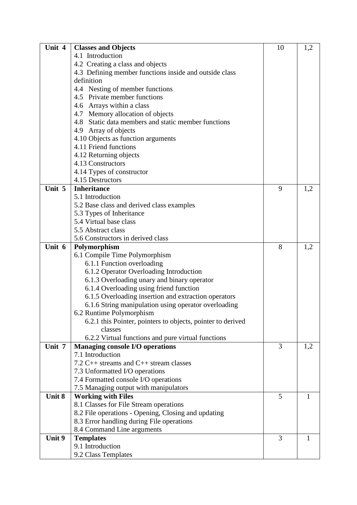| Unit 4 | <b>Classes and Objects</b>                                  | 10 | 1,2 |
|--------|-------------------------------------------------------------|----|-----|
|        | 4.1 Introduction                                            |    |     |
|        | 4.2 Creating a class and objects                            |    |     |
|        | 4.3 Defining member functions inside and outside class      |    |     |
|        | definition                                                  |    |     |
|        | 4.4 Nesting of member functions                             |    |     |
|        | 4.5 Private member functions                                |    |     |
|        | 4.6 Arrays within a class                                   |    |     |
|        | 4.7 Memory allocation of objects                            |    |     |
|        | 4.8 Static data members and static member functions         |    |     |
|        | 4.9 Array of objects                                        |    |     |
|        | 4.10 Objects as function arguments                          |    |     |
|        | 4.11 Friend functions                                       |    |     |
|        | 4.12 Returning objects                                      |    |     |
|        | 4.13 Constructors                                           |    |     |
|        | 4.14 Types of constructor                                   |    |     |
|        | 4.15 Destructors                                            |    |     |
| Unit 5 | <b>Inheritance</b>                                          | 9  | 1,2 |
|        | 5.1 Introduction                                            |    |     |
|        | 5.2 Base class and derived class examples                   |    |     |
|        | 5.3 Types of Inheritance                                    |    |     |
|        | 5.4 Virtual base class                                      |    |     |
|        | 5.5 Abstract class                                          |    |     |
|        | 5.6 Constructors in derived class                           |    |     |
| Unit 6 | Polymorphism                                                | 8  | 1,2 |
|        | 6.1 Compile Time Polymorphism                               |    |     |
|        | 6.1.1 Function overloading                                  |    |     |
|        | 6.1.2 Operator Overloading Introduction                     |    |     |
|        | 6.1.3 Overloading unary and binary operator                 |    |     |
|        | 6.1.4 Overloading using friend function                     |    |     |
|        | 6.1.5 Overloading insertion and extraction operators        |    |     |
|        | 6.1.6 String manipulation using operator overloading        |    |     |
|        | 6.2 Runtime Polymorphism                                    |    |     |
|        | 6.2.1 this Pointer, pointers to objects, pointer to derived |    |     |
|        | classes                                                     |    |     |
|        | 6.2.2 Virtual functions and pure virtual functions          |    |     |
| Unit 7 | <b>Managing console I/O operations</b>                      | 3  | 1,2 |
|        | 7.1 Introduction                                            |    |     |
|        | 7.2 $C++$ streams and $C++$ stream classes                  |    |     |
|        | 7.3 Unformatted I/O operations                              |    |     |
|        | 7.4 Formatted console I/O operations                        |    |     |
|        | 7.5 Managing output with manipulators                       |    |     |
| Unit 8 | <b>Working with Files</b>                                   | 5  | 1   |
|        | 8.1 Classes for File Stream operations                      |    |     |
|        | 8.2 File operations - Opening, Closing and updating         |    |     |
|        | 8.3 Error handling during File operations                   |    |     |
|        | 8.4 Command Line arguments                                  |    |     |
| Unit 9 | <b>Templates</b>                                            | 3  | 1   |
|        | 9.1 Introduction                                            |    |     |
|        | 9.2 Class Templates                                         |    |     |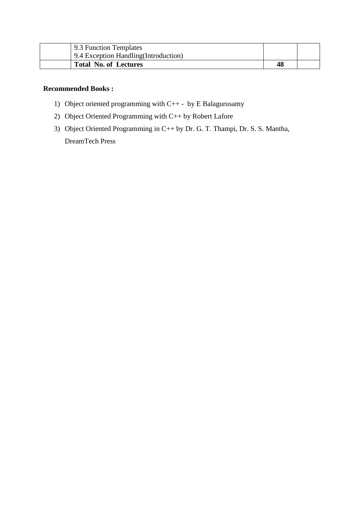| 9.3 Function Templates                |  |
|---------------------------------------|--|
| 9.4 Exception Handling (Introduction) |  |
| <b>Total No. of Lectures</b>          |  |

- 1) Object oriented programming with C++ by E Balagurusamy
- 2) Object Oriented Programming with C++ by Robert Lafore
- 3) Object Oriented Programming in C++ by Dr. G. T. Thampi, Dr. S. S. Mantha, DreamTech Press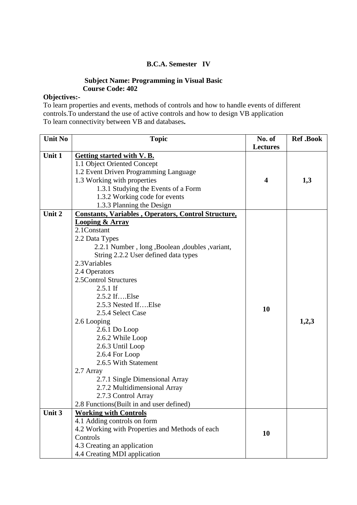## **B.C.A. Semester IV**

## **Subject Name: Programming in Visual Basic Course Code: 402**

## **Objectives:-**

To learn properties and events, methods of controls and how to handle events of different controls.To understand the use of active controls and how to design VB application To learn connectivity between VB and databases**.** 

| <b>Unit No</b> | <b>Topic</b>                                               | No. of<br><b>Lectures</b> | <b>Ref</b> .Book |
|----------------|------------------------------------------------------------|---------------------------|------------------|
| Unit 1         | Getting started with V.B.                                  |                           |                  |
|                | 1.1 Object Oriented Concept                                |                           |                  |
|                | 1.2 Event Driven Programming Language                      |                           |                  |
|                | 1.3 Working with properties                                | 4                         | 1,3              |
|                | 1.3.1 Studying the Events of a Form                        |                           |                  |
|                | 1.3.2 Working code for events                              |                           |                  |
|                | 1.3.3 Planning the Design                                  |                           |                  |
| Unit 2         | <b>Constants, Variables, Operators, Control Structure,</b> |                           |                  |
|                | <b>Looping &amp; Array</b>                                 |                           |                  |
|                | 2.1Constant                                                |                           |                  |
|                | 2.2 Data Types                                             |                           |                  |
|                | 2.2.1 Number, long, Boolean, doubles, variant,             |                           |                  |
|                | String 2.2.2 User defined data types                       |                           |                  |
|                | 2.3Variables                                               |                           |                  |
|                | 2.4 Operators                                              |                           |                  |
|                | 2.5 Control Structures                                     |                           |                  |
|                | $2.5.1$ If                                                 |                           |                  |
|                | 2.5.2 IfElse                                               |                           |                  |
|                | 2.5.3 Nested IfElse                                        |                           |                  |
|                | 2.5.4 Select Case                                          | 10                        |                  |
|                | 2.6 Looping                                                |                           | 1,2,3            |
|                | $2.6.1$ Do Loop                                            |                           |                  |
|                | 2.6.2 While Loop                                           |                           |                  |
|                | 2.6.3 Until Loop                                           |                           |                  |
|                | 2.6.4 For Loop                                             |                           |                  |
|                | 2.6.5 With Statement                                       |                           |                  |
|                | 2.7 Array                                                  |                           |                  |
|                | 2.7.1 Single Dimensional Array                             |                           |                  |
|                | 2.7.2 Multidimensional Array                               |                           |                  |
|                | 2.7.3 Control Array                                        |                           |                  |
|                | 2.8 Functions (Built in and user defined)                  |                           |                  |
| Unit 3         | <b>Working with Controls</b>                               |                           |                  |
|                | 4.1 Adding controls on form                                |                           |                  |
|                | 4.2 Working with Properties and Methods of each            | 10                        |                  |
|                | Controls                                                   |                           |                  |
|                | 4.3 Creating an application                                |                           |                  |
|                | 4.4 Creating MDI application                               |                           |                  |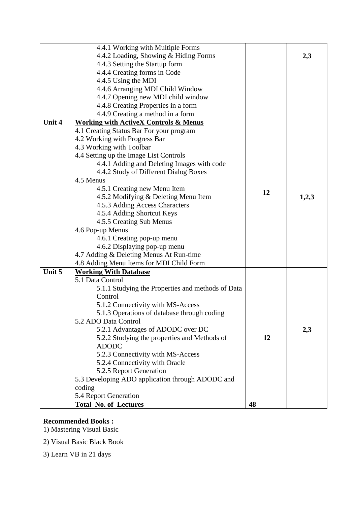|        | 4.4.1 Working with Multiple Forms                 |    |       |
|--------|---------------------------------------------------|----|-------|
|        | 4.4.2 Loading, Showing & Hiding Forms             |    | 2,3   |
|        | 4.4.3 Setting the Startup form                    |    |       |
|        | 4.4.4 Creating forms in Code                      |    |       |
|        | 4.4.5 Using the MDI                               |    |       |
|        | 4.4.6 Arranging MDI Child Window                  |    |       |
|        | 4.4.7 Opening new MDI child window                |    |       |
|        | 4.4.8 Creating Properties in a form               |    |       |
|        | 4.4.9 Creating a method in a form                 |    |       |
| Unit 4 | <b>Working with ActiveX Controls &amp; Menus</b>  |    |       |
|        | 4.1 Creating Status Bar For your program          |    |       |
|        | 4.2 Working with Progress Bar                     |    |       |
|        | 4.3 Working with Toolbar                          |    |       |
|        | 4.4 Setting up the Image List Controls            |    |       |
|        | 4.4.1 Adding and Deleting Images with code        |    |       |
|        | 4.4.2 Study of Different Dialog Boxes             |    |       |
|        | 4.5 Menus                                         |    |       |
|        | 4.5.1 Creating new Menu Item                      |    |       |
|        | 4.5.2 Modifying & Deleting Menu Item              | 12 | 1,2,3 |
|        | 4.5.3 Adding Access Characters                    |    |       |
|        | 4.5.4 Adding Shortcut Keys                        |    |       |
|        | 4.5.5 Creating Sub Menus                          |    |       |
|        | 4.6 Pop-up Menus                                  |    |       |
|        | 4.6.1 Creating pop-up menu                        |    |       |
|        | 4.6.2 Displaying pop-up menu                      |    |       |
|        | 4.7 Adding & Deleting Menus At Run-time           |    |       |
|        | 4.8 Adding Menu Items for MDI Child Form          |    |       |
| Unit 5 | <b>Working With Database</b>                      |    |       |
|        | 5.1 Data Control                                  |    |       |
|        | 5.1.1 Studying the Properties and methods of Data |    |       |
|        | Control                                           |    |       |
|        | 5.1.2 Connectivity with MS-Access                 |    |       |
|        | 5.1.3 Operations of database through coding       |    |       |
|        | 5.2 ADO Data Control                              |    |       |
|        | 5.2.1 Advantages of ADODC over DC                 |    | 2,3   |
|        | 5.2.2 Studying the properties and Methods of      | 12 |       |
|        | <b>ADODC</b>                                      |    |       |
|        | 5.2.3 Connectivity with MS-Access                 |    |       |
|        | 5.2.4 Connectivity with Oracle                    |    |       |
|        | 5.2.5 Report Generation                           |    |       |
|        | 5.3 Developing ADO application through ADODC and  |    |       |
|        | coding                                            |    |       |
|        | 5.4 Report Generation                             |    |       |
|        | <b>Total No. of Lectures</b>                      | 48 |       |

1) Mastering Visual Basic

2) Visual Basic Black Book

3) Learn VB in 21 days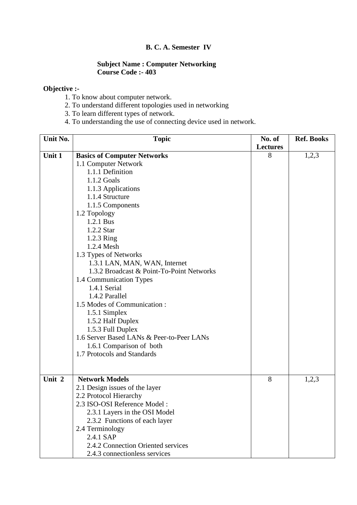# **B. C. A. Semester IV**

#### **Subject Name : Computer Networking Course Code :- 403**

## **Objective :-**

- 1. To know about computer network.
- 2. To understand different topologies used in networking
- 3. To learn different types of network.
- 4. To understanding the use of connecting device used in network.

| Unit No. | <b>Topic</b>                              | No. of          | <b>Ref. Books</b> |
|----------|-------------------------------------------|-----------------|-------------------|
|          |                                           | <b>Lectures</b> |                   |
| Unit 1   | <b>Basics of Computer Networks</b>        | 8               | 1,2,3             |
|          | 1.1 Computer Network                      |                 |                   |
|          | 1.1.1 Definition                          |                 |                   |
|          | 1.1.2 Goals                               |                 |                   |
|          | 1.1.3 Applications                        |                 |                   |
|          | 1.1.4 Structure                           |                 |                   |
|          | 1.1.5 Components                          |                 |                   |
|          | 1.2 Topology                              |                 |                   |
|          | 1.2.1 Bus                                 |                 |                   |
|          | 1.2.2 Star                                |                 |                   |
|          | 1.2.3 Ring                                |                 |                   |
|          | 1.2.4 Mesh                                |                 |                   |
|          | 1.3 Types of Networks                     |                 |                   |
|          | 1.3.1 LAN, MAN, WAN, Internet             |                 |                   |
|          | 1.3.2 Broadcast & Point-To-Point Networks |                 |                   |
|          | 1.4 Communication Types                   |                 |                   |
|          | 1.4.1 Serial                              |                 |                   |
|          | 1.4.2 Parallel                            |                 |                   |
|          | 1.5 Modes of Communication:               |                 |                   |
|          | 1.5.1 Simplex                             |                 |                   |
|          | 1.5.2 Half Duplex                         |                 |                   |
|          | 1.5.3 Full Duplex                         |                 |                   |
|          | 1.6 Server Based LANs & Peer-to-Peer LANs |                 |                   |
|          | 1.6.1 Comparison of both                  |                 |                   |
|          | 1.7 Protocols and Standards               |                 |                   |
|          |                                           |                 |                   |
|          |                                           |                 |                   |
| Unit 2   | <b>Network Models</b>                     | 8               | 1,2,3             |
|          | 2.1 Design issues of the layer            |                 |                   |
|          | 2.2 Protocol Hierarchy                    |                 |                   |
|          | 2.3 ISO-OSI Reference Model:              |                 |                   |
|          | 2.3.1 Layers in the OSI Model             |                 |                   |
|          | 2.3.2 Functions of each layer             |                 |                   |
|          | 2.4 Terminology                           |                 |                   |
|          | 2.4.1 SAP                                 |                 |                   |
|          | 2.4.2 Connection Oriented services        |                 |                   |
|          | 2.4.3 connectionless services             |                 |                   |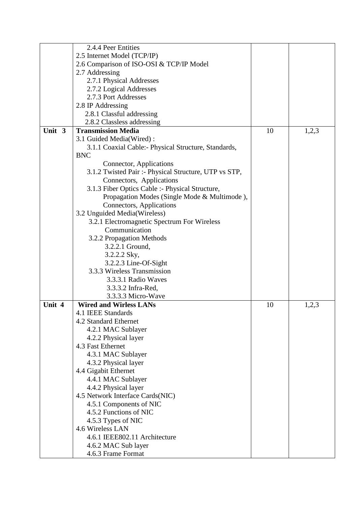|        | 2.4.4 Peer Entities                                   |    |       |
|--------|-------------------------------------------------------|----|-------|
|        | 2.5 Internet Model (TCP/IP)                           |    |       |
|        | 2.6 Comparison of ISO-OSI & TCP/IP Model              |    |       |
|        | 2.7 Addressing                                        |    |       |
|        | 2.7.1 Physical Addresses                              |    |       |
|        | 2.7.2 Logical Addresses                               |    |       |
|        | 2.7.3 Port Addresses                                  |    |       |
|        | 2.8 IP Addressing                                     |    |       |
|        | 2.8.1 Classful addressing                             |    |       |
|        | 2.8.2 Classless addressing                            |    |       |
| Unit 3 | <b>Transmission Media</b>                             | 10 | 1,2,3 |
|        | 3.1 Guided Media(Wired):                              |    |       |
|        | 3.1.1 Coaxial Cable:- Physical Structure, Standards,  |    |       |
|        | <b>BNC</b>                                            |    |       |
|        | Connector, Applications                               |    |       |
|        | 3.1.2 Twisted Pair :- Physical Structure, UTP vs STP, |    |       |
|        | Connectors, Applications                              |    |       |
|        | 3.1.3 Fiber Optics Cable :- Physical Structure,       |    |       |
|        | Propagation Modes (Single Mode & Multimode),          |    |       |
|        | Connectors, Applications                              |    |       |
|        | 3.2 Unguided Media(Wireless)                          |    |       |
|        | 3.2.1 Electromagnetic Spectrum For Wireless           |    |       |
|        | Communication                                         |    |       |
|        | 3.2.2 Propagation Methods                             |    |       |
|        | 3.2.2.1 Ground,                                       |    |       |
|        | 3.2.2.2 Sky,                                          |    |       |
|        |                                                       |    |       |
|        | 3.2.2.3 Line-Of-Sight<br>3.3.3 Wireless Transmission  |    |       |
|        | 3.3.3.1 Radio Waves                                   |    |       |
|        | 3.3.3.2 Infra-Red,                                    |    |       |
|        |                                                       |    |       |
| Unit 4 | 3.3.3.3 Micro-Wave<br><b>Wired and Wirless LANs</b>   | 10 |       |
|        | 4.1 IEEE Standards                                    |    | 1,2,3 |
|        | 4.2 Standard Ethernet                                 |    |       |
|        |                                                       |    |       |
|        | 4.2.1 MAC Sublayer                                    |    |       |
|        | 4.2.2 Physical layer<br>4.3 Fast Ethernet             |    |       |
|        |                                                       |    |       |
|        | 4.3.1 MAC Sublayer                                    |    |       |
|        | 4.3.2 Physical layer                                  |    |       |
|        | 4.4 Gigabit Ethernet                                  |    |       |
|        | 4.4.1 MAC Sublayer                                    |    |       |
|        | 4.4.2 Physical layer                                  |    |       |
|        | 4.5 Network Interface Cards(NIC)                      |    |       |
|        | 4.5.1 Components of NIC<br>4.5.2 Functions of NIC     |    |       |
|        |                                                       |    |       |
|        | 4.5.3 Types of NIC                                    |    |       |
|        | 4.6 Wireless LAN                                      |    |       |
|        | 4.6.1 IEEE802.11 Architecture                         |    |       |
|        | 4.6.2 MAC Sub layer                                   |    |       |
|        | 4.6.3 Frame Format                                    |    |       |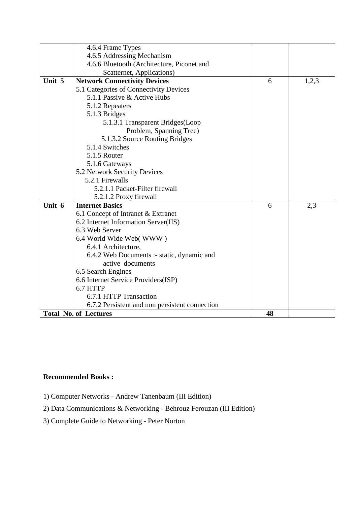|        | 4.6.4 Frame Types                              |    |       |
|--------|------------------------------------------------|----|-------|
|        | 4.6.5 Addressing Mechanism                     |    |       |
|        | 4.6.6 Bluetooth (Architecture, Piconet and     |    |       |
|        | Scatternet, Applications)                      |    |       |
| Unit 5 | <b>Network Connectivity Devices</b>            | 6  | 1,2,3 |
|        | 5.1 Categories of Connectivity Devices         |    |       |
|        | 5.1.1 Passive & Active Hubs                    |    |       |
|        | 5.1.2 Repeaters                                |    |       |
|        | 5.1.3 Bridges                                  |    |       |
|        | 5.1.3.1 Transparent Bridges (Loop              |    |       |
|        | Problem, Spanning Tree)                        |    |       |
|        | 5.1.3.2 Source Routing Bridges                 |    |       |
|        | 5.1.4 Switches                                 |    |       |
|        | 5.1.5 Router                                   |    |       |
|        | 5.1.6 Gateways                                 |    |       |
|        | 5.2 Network Security Devices                   |    |       |
|        | 5.2.1 Firewalls                                |    |       |
|        | 5.2.1.1 Packet-Filter firewall                 |    |       |
|        | 5.2.1.2 Proxy firewall                         |    |       |
| Unit 6 | <b>Internet Basics</b>                         | 6  | 2,3   |
|        | 6.1 Concept of Intranet & Extranet             |    |       |
|        | 6.2 Internet Information Server(IIS)           |    |       |
|        | 6.3 Web Server                                 |    |       |
|        | 6.4 World Wide Web(WWW)                        |    |       |
|        | 6.4.1 Architecture,                            |    |       |
|        | 6.4.2 Web Documents :- static, dynamic and     |    |       |
|        | active documents                               |    |       |
|        | 6.5 Search Engines                             |    |       |
|        | 6.6 Internet Service Providers(ISP)            |    |       |
|        | 6.7 HTTP                                       |    |       |
|        | 6.7.1 HTTP Transaction                         |    |       |
|        | 6.7.2 Persistent and non persistent connection |    |       |
|        | <b>Total No. of Lectures</b>                   | 48 |       |

- 1) Computer Networks Andrew Tanenbaum (III Edition)
- 2) Data Communications & Networking Behrouz Ferouzan (III Edition)
- 3) Complete Guide to Networking Peter Norton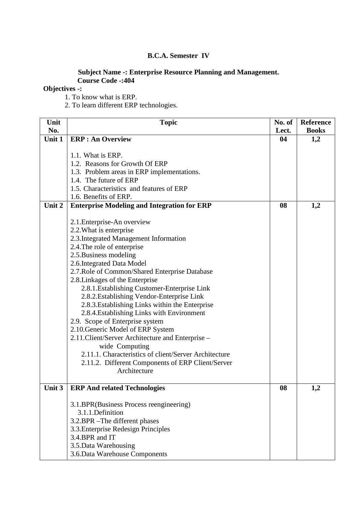#### **B.C.A. Semester IV**

#### **Subject Name -: Enterprise Resource Planning and Management. Course Code -:404**

### **Objectives -:**

1. To know what is ERP.

2. To learn different ERP technologies.

| Unit   | <b>Topic</b>                                          | No. of | <b>Reference</b> |
|--------|-------------------------------------------------------|--------|------------------|
| No.    |                                                       | Lect.  | <b>Books</b>     |
| Unit 1 | <b>ERP</b> : An Overview                              | 04     | 1,2              |
|        |                                                       |        |                  |
|        | 1.1. What is ERP.                                     |        |                  |
|        | 1.2. Reasons for Growth Of ERP                        |        |                  |
|        | 1.3. Problem areas in ERP implementations.            |        |                  |
|        | 1.4. The future of ERP                                |        |                  |
|        | 1.5. Characteristics and features of ERP              |        |                  |
|        | 1.6. Benefits of ERP.                                 |        |                  |
| Unit 2 | <b>Enterprise Modeling and Integration for ERP</b>    | 08     | 1,2              |
|        |                                                       |        |                  |
|        | 2.1. Enterprise-An overview                           |        |                  |
|        | 2.2. What is enterprise                               |        |                  |
|        | 2.3. Integrated Management Information                |        |                  |
|        | 2.4. The role of enterprise                           |        |                  |
|        | 2.5. Business modeling                                |        |                  |
|        | 2.6. Integrated Data Model                            |        |                  |
|        | 2.7. Role of Common/Shared Enterprise Database        |        |                  |
|        | 2.8. Linkages of the Enterprise                       |        |                  |
|        | 2.8.1. Establishing Customer-Enterprise Link          |        |                  |
|        | 2.8.2. Establishing Vendor-Enterprise Link            |        |                  |
|        | 2.8.3. Establishing Links within the Enterprise       |        |                  |
|        | 2.8.4. Establishing Links with Environment            |        |                  |
|        | 2.9. Scope of Enterprise system                       |        |                  |
|        | 2.10. Generic Model of ERP System                     |        |                  |
|        | 2.11. Client/Server Architecture and Enterprise -     |        |                  |
|        | wide Computing                                        |        |                  |
|        | 2.11.1. Characteristics of client/Server Architecture |        |                  |
|        | 2.11.2. Different Components of ERP Client/Server     |        |                  |
|        | Architecture                                          |        |                  |
|        |                                                       |        |                  |
| Unit 3 | <b>ERP And related Technologies</b>                   | 08     | 1,2              |
|        |                                                       |        |                  |
|        | 3.1.BPR(Business Process reengineering)               |        |                  |
|        | 3.1.1.Definition                                      |        |                  |
|        | 3.2.BPR - The different phases                        |        |                  |
|        | 3.3. Enterprise Redesign Principles                   |        |                  |
|        | 3.4.BPR and IT                                        |        |                  |
|        | 3.5. Data Warehousing                                 |        |                  |
|        | 3.6. Data Warehouse Components                        |        |                  |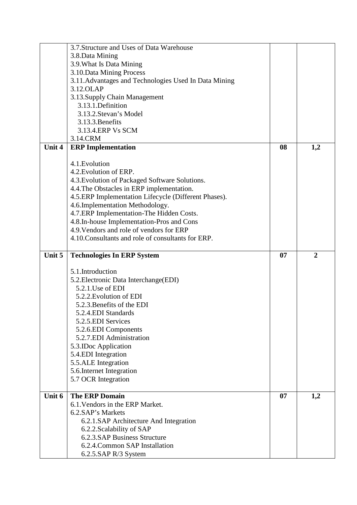|        | 3.7. Structure and Uses of Data Warehouse                                                                                                                                                                  |    |                |
|--------|------------------------------------------------------------------------------------------------------------------------------------------------------------------------------------------------------------|----|----------------|
|        | 3.8. Data Mining                                                                                                                                                                                           |    |                |
|        | 3.9. What Is Data Mining                                                                                                                                                                                   |    |                |
|        | 3.10. Data Mining Process                                                                                                                                                                                  |    |                |
|        | 3.11. Advantages and Technologies Used In Data Mining                                                                                                                                                      |    |                |
|        | 3.12.OLAP                                                                                                                                                                                                  |    |                |
|        | 3.13. Supply Chain Management                                                                                                                                                                              |    |                |
|        | 3.13.1. Definition                                                                                                                                                                                         |    |                |
|        | 3.13.2. Stevan's Model                                                                                                                                                                                     |    |                |
|        | 3.13.3. Benefits                                                                                                                                                                                           |    |                |
|        | 3.13.4. ERP Vs SCM                                                                                                                                                                                         |    |                |
|        | 3.14.CRM                                                                                                                                                                                                   |    |                |
| Unit 4 |                                                                                                                                                                                                            |    |                |
|        | <b>ERP</b> Implementation                                                                                                                                                                                  | 08 | 1,2            |
|        |                                                                                                                                                                                                            |    |                |
|        | 4.1. Evolution                                                                                                                                                                                             |    |                |
|        | 4.2. Evolution of ERP.                                                                                                                                                                                     |    |                |
|        | 4.3. Evolution of Packaged Software Solutions.                                                                                                                                                             |    |                |
|        | 4.4. The Obstacles in ERP implementation.                                                                                                                                                                  |    |                |
|        | 4.5. ERP Implementation Lifecycle (Different Phases).                                                                                                                                                      |    |                |
|        | 4.6.Implementation Methodology.                                                                                                                                                                            |    |                |
|        | 4.7.ERP Implementation-The Hidden Costs.                                                                                                                                                                   |    |                |
|        | 4.8.In-house Implementation-Pros and Cons                                                                                                                                                                  |    |                |
|        | 4.9. Vendors and role of vendors for ERP                                                                                                                                                                   |    |                |
|        | 4.10. Consultants and role of consultants for ERP.                                                                                                                                                         |    |                |
|        |                                                                                                                                                                                                            |    |                |
| Unit 5 | <b>Technologies In ERP System</b>                                                                                                                                                                          | 07 | $\overline{2}$ |
|        |                                                                                                                                                                                                            |    |                |
|        | 5.1.Introduction                                                                                                                                                                                           |    |                |
|        | 5.2. Electronic Data Interchange (EDI)                                                                                                                                                                     |    |                |
|        | 5.2.1. Use of EDI                                                                                                                                                                                          |    |                |
|        | 5.2.2. Evolution of EDI                                                                                                                                                                                    |    |                |
|        | 5.2.3. Benefits of the EDI                                                                                                                                                                                 |    |                |
|        | 5.2.4.EDI Standards                                                                                                                                                                                        |    |                |
|        | 5.2.5. EDI Services                                                                                                                                                                                        |    |                |
|        | 5.2.6.EDI Components                                                                                                                                                                                       |    |                |
|        | 5.2.7.EDI Administration                                                                                                                                                                                   |    |                |
|        | 5.3. IDoc Application                                                                                                                                                                                      |    |                |
|        | 5.4.EDI Integration                                                                                                                                                                                        |    |                |
|        | 5.5.ALE Integration                                                                                                                                                                                        |    |                |
|        | 5.6. Internet Integration                                                                                                                                                                                  |    |                |
|        |                                                                                                                                                                                                            |    |                |
|        |                                                                                                                                                                                                            |    |                |
| Unit 6 |                                                                                                                                                                                                            | 07 |                |
|        | 6.1. Vendors in the ERP Market.                                                                                                                                                                            |    |                |
|        |                                                                                                                                                                                                            |    |                |
|        |                                                                                                                                                                                                            |    |                |
|        |                                                                                                                                                                                                            |    |                |
|        |                                                                                                                                                                                                            |    |                |
|        |                                                                                                                                                                                                            |    |                |
|        | 6.2.5.SAP R/3 System                                                                                                                                                                                       |    |                |
|        | 5.7 OCR Integration<br><b>The ERP Domain</b><br>6.2.SAP's Markets<br>6.2.1.SAP Architecture And Integration<br>6.2.2. Scalability of SAP<br>6.2.3.SAP Business Structure<br>6.2.4. Common SAP Installation |    | 1,2            |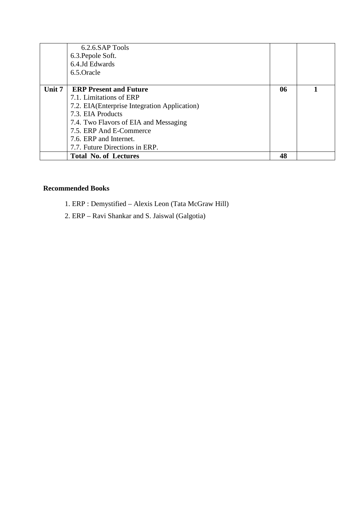|        | 6.2.6.SAP Tools                               |    |  |
|--------|-----------------------------------------------|----|--|
|        | 6.3. Pepole Soft.                             |    |  |
|        | 6.4.Jd Edwards                                |    |  |
|        | 6.5.Oracle                                    |    |  |
|        |                                               |    |  |
| Unit 7 | <b>ERP Present and Future</b>                 | 06 |  |
|        | 7.1. Limitations of ERP                       |    |  |
|        | 7.2. EIA (Enterprise Integration Application) |    |  |
|        | 7.3. EIA Products                             |    |  |
|        | 7.4. Two Flavors of EIA and Messaging         |    |  |
|        | 7.5. ERP And E-Commerce                       |    |  |
|        | 7.6. ERP and Internet.                        |    |  |
|        | 7.7. Future Directions in ERP.                |    |  |
|        | <b>Total No. of Lectures</b>                  | 48 |  |

- 1. ERP : Demystified Alexis Leon (Tata McGraw Hill)
- 2. ERP Ravi Shankar and S. Jaiswal (Galgotia)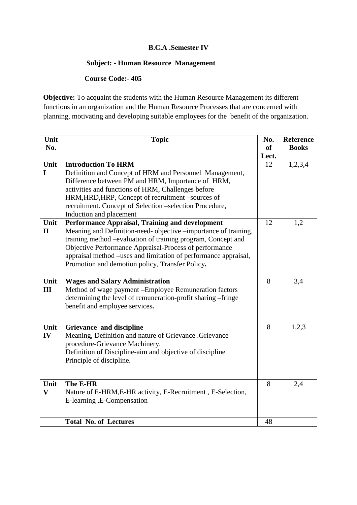### **B.C.A .Semester IV**

## **Subject: - Human Resource Management**

 **Course Code:- 405** 

**Objective:** To acquaint the students with the Human Resource Management its different functions in an organization and the Human Resource Processes that are concerned with planning, motivating and developing suitable employees for the benefit of the organization.

| Unit         | <b>Topic</b>                                                    | No.       | <b>Reference</b> |
|--------------|-----------------------------------------------------------------|-----------|------------------|
| No.          |                                                                 | <b>of</b> | <b>Books</b>     |
|              |                                                                 | Lect.     |                  |
| Unit         | <b>Introduction To HRM</b>                                      | 12        | 1,2,3,4          |
| $\mathbf I$  | Definition and Concept of HRM and Personnel Management,         |           |                  |
|              | Difference between PM and HRM, Importance of HRM,               |           |                  |
|              | activities and functions of HRM, Challenges before              |           |                  |
|              | HRM, HRD, HRP, Concept of recruitment -sources of               |           |                  |
|              | recruitment. Concept of Selection -selection Procedure,         |           |                  |
|              | Induction and placement                                         |           |                  |
| Unit         | Performance Appraisal, Training and development                 | 12        | 1,2              |
| $\mathbf{I}$ | Meaning and Definition-need- objective -importance of training, |           |                  |
|              | training method –evaluation of training program, Concept and    |           |                  |
|              | Objective Performance Appraisal-Process of performance          |           |                  |
|              | appraisal method -uses and limitation of performance appraisal, |           |                  |
|              | Promotion and demotion policy, Transfer Policy.                 |           |                  |
|              |                                                                 |           |                  |
| Unit         | <b>Wages and Salary Administration</b>                          | 8         | 3,4              |
| III          | Method of wage payment - Employee Remuneration factors          |           |                  |
|              | determining the level of remuneration-profit sharing -fringe    |           |                  |
|              | benefit and employee services.                                  |           |                  |
|              |                                                                 |           |                  |
| Unit         | Grievance and discipline                                        | 8         | 1,2,3            |
| IV           | Meaning, Definition and nature of Grievance .Grievance          |           |                  |
|              | procedure-Grievance Machinery.                                  |           |                  |
|              | Definition of Discipline-aim and objective of discipline        |           |                  |
|              | Principle of discipline.                                        |           |                  |
|              |                                                                 |           |                  |
|              |                                                                 |           |                  |
| Unit         | The E-HR                                                        | 8         | 2,4              |
| $\mathbf{V}$ | Nature of E-HRM, E-HR activity, E-Recruitment, E-Selection,     |           |                  |
|              | E-learning, E-Compensation                                      |           |                  |
|              |                                                                 |           |                  |
|              | <b>Total No. of Lectures</b>                                    | 48        |                  |
|              |                                                                 |           |                  |